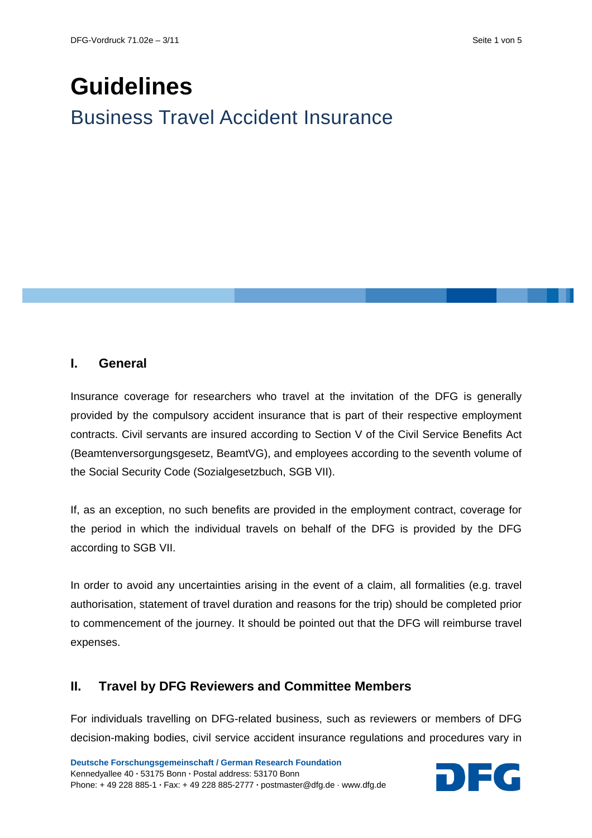# **Guidelines** Business Travel Accident Insurance

### **I. General**

Insurance coverage for researchers who travel at the invitation of the DFG is generally provided by the compulsory accident insurance that is part of their respective employment contracts. Civil servants are insured according to Section V of the Civil Service Benefits Act (Beamtenversorgungsgesetz, BeamtVG), and employees according to the seventh volume of the Social Security Code (Sozialgesetzbuch, SGB VII).

If, as an exception, no such benefits are provided in the employment contract, coverage for the period in which the individual travels on behalf of the DFG is provided by the DFG according to SGB VII.

In order to avoid any uncertainties arising in the event of a claim, all formalities (e.g. travel authorisation, statement of travel duration and reasons for the trip) should be completed prior to commencement of the journey. It should be pointed out that the DFG will reimburse travel expenses.

## **II. Travel by DFG Reviewers and Committee Members**

For individuals travelling on DFG-related business, such as reviewers or members of DFG decision-making bodies, civil service accident insurance regulations and procedures vary in

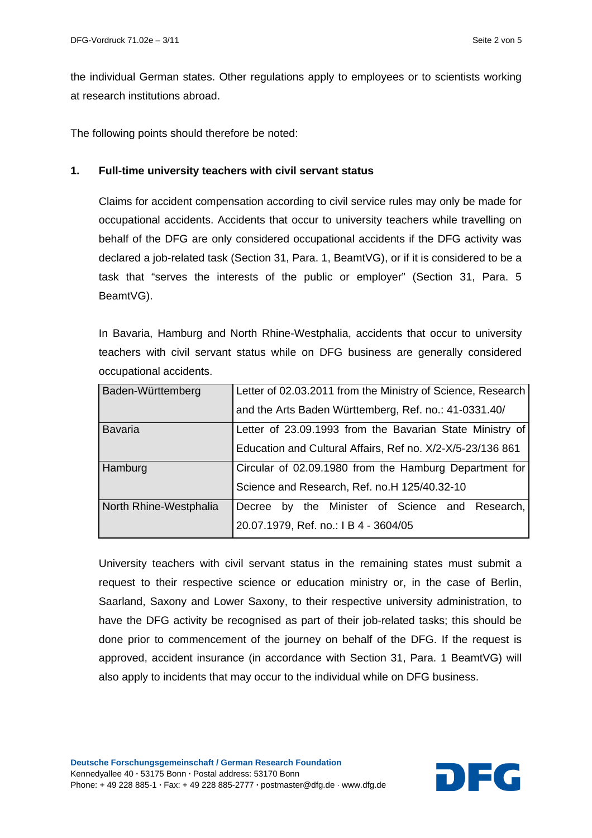the individual German states. Other regulations apply to employees or to scientists working at research institutions abroad.

The following points should therefore be noted:

#### **1. Full-time university teachers with civil servant status**

Claims for accident compensation according to civil service rules may only be made for occupational accidents. Accidents that occur to university teachers while travelling on behalf of the DFG are only considered occupational accidents if the DFG activity was declared a job-related task (Section 31, Para. 1, BeamtVG), or if it is considered to be a task that "serves the interests of the public or employer" (Section 31, Para. 5 BeamtVG).

In Bavaria, Hamburg and North Rhine-Westphalia, accidents that occur to university teachers with civil servant status while on DFG business are generally considered occupational accidents.

| Baden-Württemberg      | Letter of 02.03.2011 from the Ministry of Science, Research |
|------------------------|-------------------------------------------------------------|
|                        | and the Arts Baden Württemberg, Ref. no.: 41-0331.40/       |
| <b>Bavaria</b>         | Letter of 23.09.1993 from the Bavarian State Ministry of    |
|                        | Education and Cultural Affairs, Ref no. X/2-X/5-23/136 861  |
| Hamburg                | Circular of 02.09.1980 from the Hamburg Department for      |
|                        | Science and Research, Ref. no.H 125/40.32-10                |
| North Rhine-Westphalia | by the Minister of Science and Research,<br>Decree          |
|                        | 20.07.1979, Ref. no.: I B 4 - 3604/05                       |

University teachers with civil servant status in the remaining states must submit a request to their respective science or education ministry or, in the case of Berlin, Saarland, Saxony and Lower Saxony, to their respective university administration, to have the DFG activity be recognised as part of their job-related tasks; this should be done prior to commencement of the journey on behalf of the DFG. If the request is approved, accident insurance (in accordance with Section 31, Para. 1 BeamtVG) will also apply to incidents that may occur to the individual while on DFG business.

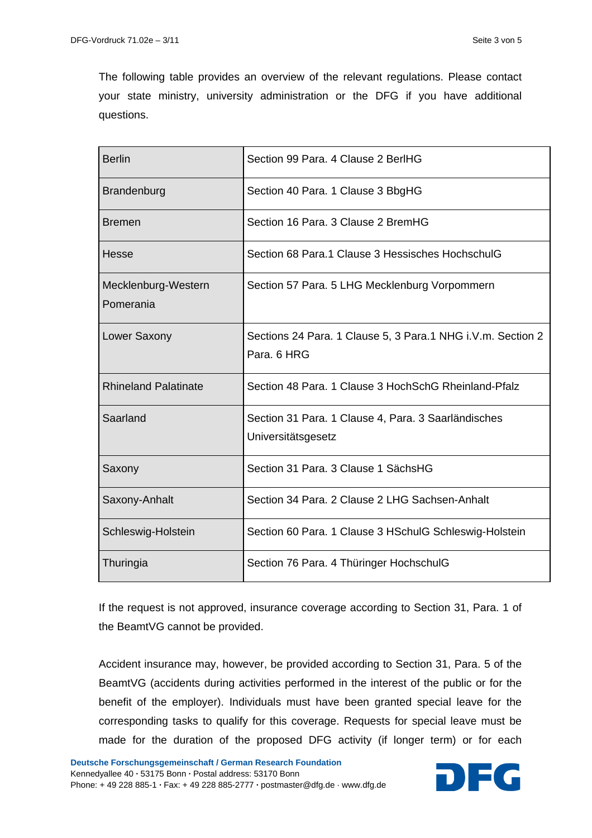The following table provides an overview of the relevant regulations. Please contact your state ministry, university administration or the DFG if you have additional questions.

| <b>Berlin</b>                    | Section 99 Para, 4 Clause 2 BerlHG                                          |
|----------------------------------|-----------------------------------------------------------------------------|
| Brandenburg                      | Section 40 Para. 1 Clause 3 BbgHG                                           |
| <b>Bremen</b>                    | Section 16 Para, 3 Clause 2 BremHG                                          |
| Hesse                            | Section 68 Para.1 Clause 3 Hessisches HochschulG                            |
| Mecklenburg-Western<br>Pomerania | Section 57 Para. 5 LHG Mecklenburg Vorpommern                               |
| Lower Saxony                     | Sections 24 Para. 1 Clause 5, 3 Para. 1 NHG i.V.m. Section 2<br>Para, 6 HRG |
| <b>Rhineland Palatinate</b>      | Section 48 Para, 1 Clause 3 HochSchG Rheinland-Pfalz                        |
| Saarland                         | Section 31 Para. 1 Clause 4, Para. 3 Saarländisches<br>Universitätsgesetz   |
| Saxony                           | Section 31 Para, 3 Clause 1 SächsHG                                         |
| Saxony-Anhalt                    | Section 34 Para, 2 Clause 2 LHG Sachsen-Anhalt                              |
| Schleswig-Holstein               | Section 60 Para. 1 Clause 3 HSchulG Schleswig-Holstein                      |
| Thuringia                        | Section 76 Para. 4 Thüringer HochschulG                                     |

If the request is not approved, insurance coverage according to Section 31, Para. 1 of the BeamtVG cannot be provided.

Accident insurance may, however, be provided according to Section 31, Para. 5 of the BeamtVG (accidents during activities performed in the interest of the public or for the benefit of the employer). Individuals must have been granted special leave for the corresponding tasks to qualify for this coverage. Requests for special leave must be made for the duration of the proposed DFG activity (if longer term) or for each

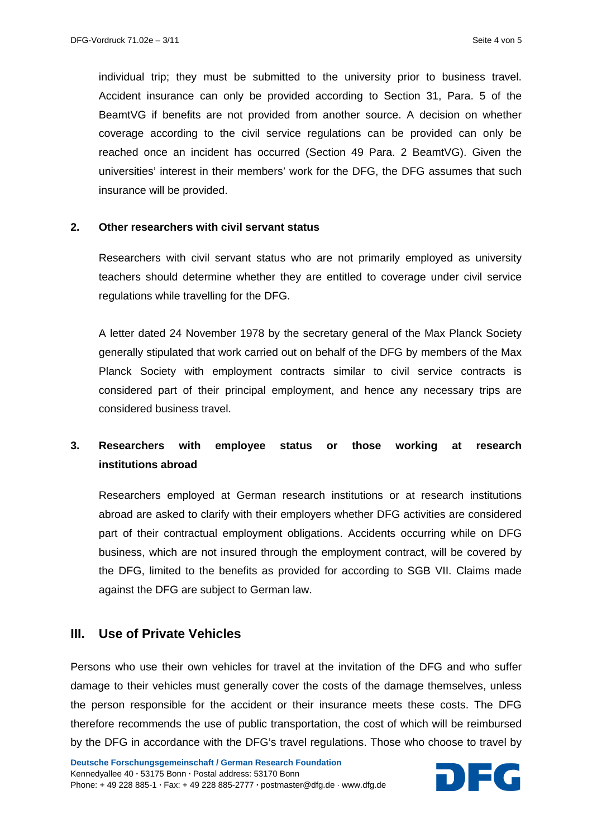individual trip; they must be submitted to the university prior to business travel. Accident insurance can only be provided according to Section 31, Para. 5 of the BeamtVG if benefits are not provided from another source. A decision on whether coverage according to the civil service regulations can be provided can only be reached once an incident has occurred (Section 49 Para. 2 BeamtVG). Given the universities' interest in their members' work for the DFG, the DFG assumes that such insurance will be provided.

#### **2. Other researchers with civil servant status**

Researchers with civil servant status who are not primarily employed as university teachers should determine whether they are entitled to coverage under civil service regulations while travelling for the DFG.

A letter dated 24 November 1978 by the secretary general of the Max Planck Society generally stipulated that work carried out on behalf of the DFG by members of the Max Planck Society with employment contracts similar to civil service contracts is considered part of their principal employment, and hence any necessary trips are considered business travel.

## **3. Researchers with employee status or those working at research institutions abroad**

Researchers employed at German research institutions or at research institutions abroad are asked to clarify with their employers whether DFG activities are considered part of their contractual employment obligations. Accidents occurring while on DFG business, which are not insured through the employment contract, will be covered by the DFG, limited to the benefits as provided for according to SGB VII. Claims made against the DFG are subject to German law.

#### **III. Use of Private Vehicles**

Persons who use their own vehicles for travel at the invitation of the DFG and who suffer damage to their vehicles must generally cover the costs of the damage themselves, unless the person responsible for the accident or their insurance meets these costs. The DFG therefore recommends the use of public transportation, the cost of which will be reimbursed by the DFG in accordance with the DFG's travel regulations. Those who choose to travel by